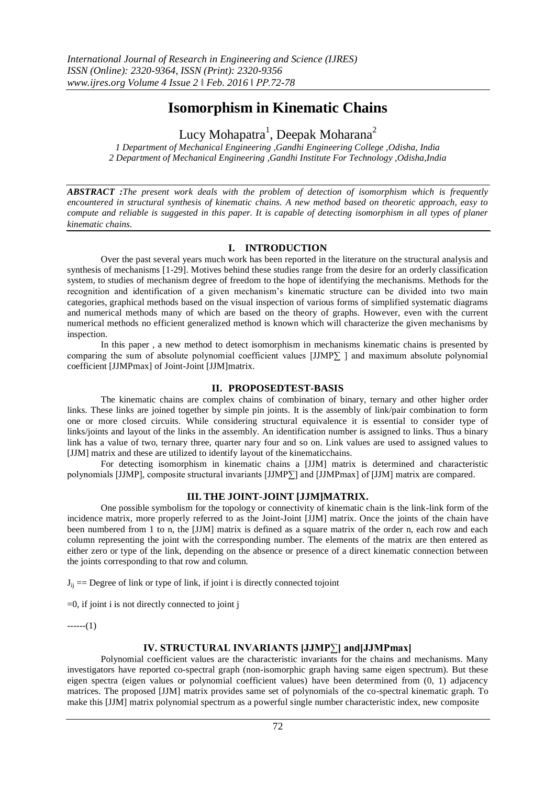# **Isomorphism in Kinematic Chains**

Lucy Mohapatra $^1$ , Deepak Moharana $^2$ 

*1 Department of Mechanical Engineering ,Gandhi Engineering College ,Odisha, India 2 Department of Mechanical Engineering ,Gandhi Institute For Technology ,Odisha,India*

*ABSTRACT :The present work deals with the problem of detection of isomorphism which is frequently encountered in structural synthesis of kinematic chains. A new method based on theoretic approach, easy to compute and reliable is suggested in this paper. It is capable of detecting isomorphism in all types of planer kinematic chains.*

## **I. INTRODUCTION**

Over the past several years much work has been reported in the literature on the structural analysis and synthesis of mechanisms [1-29]. Motives behind these studies range from the desire for an orderly classification system, to studies of mechanism degree of freedom to the hope of identifying the mechanisms. Methods for the recognition and identification of a given mechanism's kinematic structure can be divided into two main categories, graphical methods based on the visual inspection of various forms of simplified systematic diagrams and numerical methods many of which are based on the theory of graphs. However, even with the current numerical methods no efficient generalized method is known which will characterize the given mechanisms by inspection.

In this paper , a new method to detect isomorphism in mechanisms kinematic chains is presented by comparing the sum of absolute polynomial coefficient values [JJMP∑ ] and maximum absolute polynomial coefficient [JJMPmax] of Joint-Joint [JJM]matrix.

## **II. PROPOSEDTEST-BASIS**

The kinematic chains are complex chains of combination of binary, ternary and other higher order links. These links are joined together by simple pin joints. It is the assembly of link/pair combination to form one or more closed circuits. While considering structural equivalence it is essential to consider type of links/joints and layout of the links in the assembly. An identification number is assigned to links. Thus a binary link has a value of two, ternary three, quarter nary four and so on. Link values are used to assigned values to [JJM] matrix and these are utilized to identify layout of the kinematicchains.

For detecting isomorphism in kinematic chains a [JJM] matrix is determined and characteristic polynomials [JJMP], composite structural invariants [JJMP∑] and [JJMPmax] of [JJM] matrix are compared.

#### **III. THE JOINT-JOINT [JJM]MATRIX.**

One possible symbolism for the topology or connectivity of kinematic chain is the link-link form of the incidence matrix, more properly referred to as the Joint-Joint [JJM] matrix. Once the joints of the chain have been numbered from 1 to n, the [JJM] matrix is defined as a square matrix of the order n, each row and each column representing the joint with the corresponding number. The elements of the matrix are then entered as either zero or type of the link, depending on the absence or presence of a direct kinematic connection between the joints corresponding to that row and column.

 $J_{ii} ==$  Degree of link or type of link, if joint i is directly connected tojoint

 $=0$ , if joint i is not directly connected to joint j

 $---(1)$ 

#### **IV. STRUCTURAL INVARIANTS [JJMP∑] and[JJMPmax]**

Polynomial coefficient values are the characteristic invariants for the chains and mechanisms. Many investigators have reported co-spectral graph (non-isomorphic graph having same eigen spectrum). But these eigen spectra (eigen values or polynomial coefficient values) have been determined from (0, 1) adjacency matrices. The proposed [JJM] matrix provides same set of polynomials of the co-spectral kinematic graph. To make this [JJM] matrix polynomial spectrum as a powerful single number characteristic index, new composite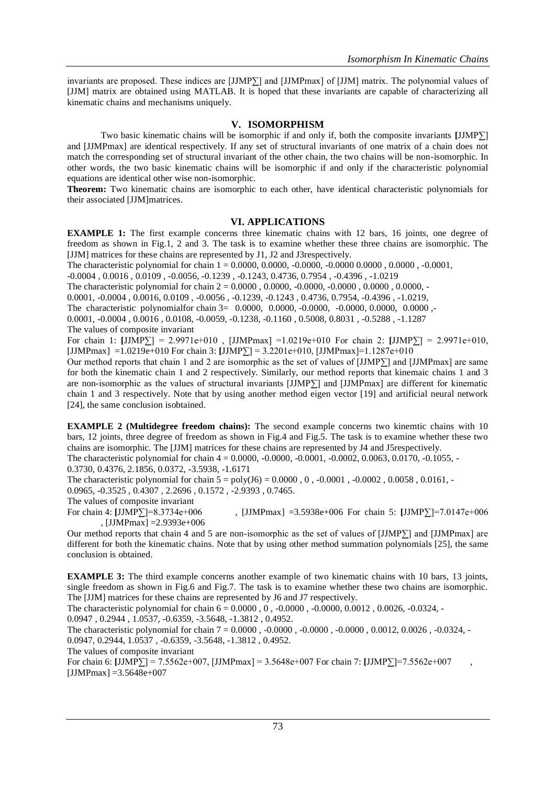invariants are proposed. These indices are [JJMP∑] and [JJMPmax] of [JJM] matrix. The polynomial values of [JJM] matrix are obtained using MATLAB. It is hoped that these invariants are capable of characterizing all kinematic chains and mechanisms uniquely.

#### **V. ISOMORPHISM**

Two basic kinematic chains will be isomorphic if and only if, both the composite invariants **[**JJMP∑] and [JJMPmax] are identical respectively. If any set of structural invariants of one matrix of a chain does not match the corresponding set of structural invariant of the other chain, the two chains will be non-isomorphic. In other words, the two basic kinematic chains will be isomorphic if and only if the characteristic polynomial equations are identical other wise non-isomorphic.

**Theorem:** Two kinematic chains are isomorphic to each other, have identical characteristic polynomials for their associated [JJM]matrices.

#### **VI. APPLICATIONS**

**EXAMPLE 1:** The first example concerns three kinematic chains with 12 bars, 16 joints, one degree of freedom as shown in Fig.1, 2 and 3. The task is to examine whether these three chains are isomorphic. The [JJM] matrices for these chains are represented by J1, J2 and J3respectively.

The characteristic polynomial for chain  $1 = 0.0000, 0.0000, -0.0000, -0.0000, 0.0000, -0.0000, -0.0001,$ 

-0.0004 , 0.0016 , 0.0109 , -0.0056, -0.1239 , -0.1243, 0.4736, 0.7954 , -0.4396 , -1.0219

The characteristic polynomial for chain 2 = 0.0000 , 0.0000, -0.0000, -0.0000 , 0.0000 , 0.0000, -

0.0001, -0.0004 , 0.0016, 0.0109 , -0.0056 , -0.1239, -0.1243 , 0.4736, 0.7954, -0.4396 , -1.0219,

The characteristic polynomialfor chain 3= 0.0000, 0.0000, -0.0000, -0.0000, 0.0000, -0.0000, -0.0000, -0.0000, -

0.0001, -0.0004 , 0.0016 , 0.0108, -0.0059, -0.1238, -0.1160 , 0.5008, 0.8031 , -0.5288 , -1.1287

The values of composite invariant

For chain 1: **[**JJMP∑] = 2.9971e+010 , [JJMPmax] =1.0219e+010 For chain 2: **[**JJMP∑] = 2.9971e+010,  $[JJMPmax] = 1.0219e+010$  For chain 3:  $[JJMP] = 3.2201e+010$ ,  $[JJMPmax] = 1.1287e+010$ 

Our method reports that chain 1 and 2 are isomorphic as the set of values of [JJMP∑] and [JJMPmax] are same for both the kinematic chain 1 and 2 respectively. Similarly, our method reports that kinemaic chains 1 and 3 are non-isomorphic as the values of structural invariants [JJMP∑] and [JJMPmax] are different for kinematic chain 1 and 3 respectively. Note that by using another method eigen vector [19] and artificial neural network [24], the same conclusion isobtained.

**EXAMPLE 2 (Multidegree freedom chains):** The second example concerns two kinemtic chains with 10 bars, 12 joints, three degree of freedom as shown in Fig.4 and Fig.5. The task is to examine whether these two chains are isomorphic. The [JJM] matrices for these chains are represented by J4 and J5respectively.

The characteristic polynomial for chain  $4 = 0.0000$ ,  $-0.0000$ ,  $-0.0001$ ,  $-0.0002$ ,  $0.0063$ ,  $0.0170$ ,  $-0.1055$ ,  $-0.0000$ 0.3730, 0.4376, 2.1856, 0.0372, -3.5938, -1.6171

The characteristic polynomial for chain  $5 = poly(J6) = 0.0000, 0, -0.0001, -0.0002, 0.0058, 0.0161, -0.0002$ 

0.0965, -0.3525 , 0.4307 , 2.2696 , 0.1572 , -2.9393 , 0.7465.

The values of composite invariant

For chain 4: **[**JJMP∑]=8.3734e+006 , [JJMPmax] =3.5938e+006 For chain 5: **[**JJMP∑]=7.0147e+006 , [JJMPmax] =2.9393e+006

Our method reports that chain 4 and 5 are non-isomorphic as the set of values of [JJMP∑] and [JJMPmax] are different for both the kinematic chains. Note that by using other method summation polynomials [25], the same conclusion is obtained.

**EXAMPLE 3:** The third example concerns another example of two kinematic chains with 10 bars, 13 joints, single freedom as shown in Fig.6 and Fig.7. The task is to examine whether these two chains are isomorphic. The [JJM] matrices for these chains are represented by J6 and J7 respectively.

The characteristic polynomial for chain  $6 = 0.0000$ ,  $0, -0.0000$ ,  $-0.0000$ ,  $0.0012$ ,  $0.0026$ ,  $-0.0324$ ,

0.0947 , 0.2944 , 1.0537, -0.6359, -3.5648, -1.3812 , 0.4952.

The characteristic polynomial for chain 7 = 0.0000 , -0.0000 , -0.0000 , -0.0000 , 0.0012, 0.0026 , -0.0324, - 0.0947, 0.2944, 1.0537 , -0.6359, -3.5648, -1.3812 , 0.4952.

The values of composite invariant

For chain 6: **[**JJMP∑] = 7.5562e+007, [JJMPmax] = 3.5648e+007 For chain 7: **[**JJMP∑]=7.5562e+007 ,  $[JJMPmax] = 3.5648e+007$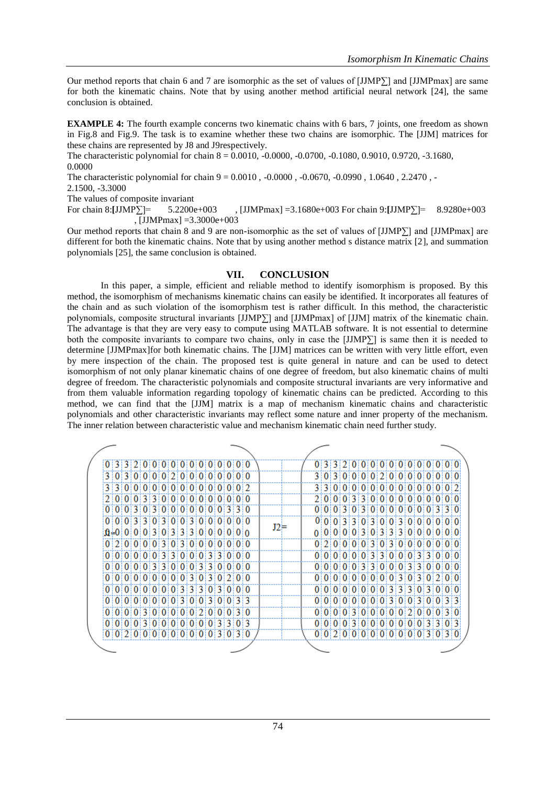Our method reports that chain 6 and 7 are isomorphic as the set of values of [JJMP∑] and [JJMPmax] are same for both the kinematic chains. Note that by using another method artificial neural network [24], the same conclusion is obtained.

**EXAMPLE 4:** The fourth example concerns two kinematic chains with 6 bars, 7 joints, one freedom as shown in Fig.8 and Fig.9. The task is to examine whether these two chains are isomorphic. The [JJM] matrices for these chains are represented by J8 and J9respectively.

The characteristic polynomial for chain 8 = 0.0010, -0.0000, -0.0700, -0.1080, 0.9010, 0.9720, -3.1680, 0.0000

The characteristic polynomial for chain 9 = 0.0010 , -0.0000 , -0.0670, -0.0990 , 1.0640 , 2.2470 , -

2.1500, -3.3000

The values of composite invariant

For chain 8:**[**JJMP∑]= 5.2200e+003 , [JJMPmax] =3.1680e+003 For chain 9:**[**JJMP∑]= 8.9280e+003  $\overline{JJMPmax} = 3.3000e + 003$ 

Our method reports that chain 8 and 9 are non-isomorphic as the set of values of [JJMP∑] and [JJMPmax] are different for both the kinematic chains. Note that by using another method s distance matrix [2], and summation polynomials [25], the same conclusion is obtained.

#### **VII. CONCLUSION**

In this paper, a simple, efficient and reliable method to identify isomorphism is proposed. By this method, the isomorphism of mechanisms kinematic chains can easily be identified. It incorporates all features of the chain and as such violation of the isomorphism test is rather difficult. In this method, the characteristic polynomials, composite structural invariants [JJMP∑] and [JJMPmax] of [JJM] matrix of the kinematic chain. The advantage is that they are very easy to compute using MATLAB software. It is not essential to determine both the composite invariants to compare two chains, only in case the  $[JIMP\Sigma]$  is same then it is needed to determine [JJMPmax]for both kinematic chains. The [JJM] matrices can be written with very little effort, even by mere inspection of the chain. The proposed test is quite general in nature and can be used to detect isomorphism of not only planar kinematic chains of one degree of freedom, but also kinematic chains of multi degree of freedom. The characteristic polynomials and composite structural invariants are very informative and from them valuable information regarding topology of kinematic chains can be predicted. According to this method, we can find that the [JJM] matrix is a map of mechanism kinematic chains and characteristic polynomials and other characteristic invariants may reflect some nature and inner property of the mechanism. The inner relation between characteristic value and mechanism kinematic chain need further study.

|  |  |  |  |  |                                   |  |  | 0.3320000000000000000 |     |  | 0.3.3.2.0.0.0.0.0.0.0.0.0.0.0.0.0     |  |  |  |  |  |       |  |
|--|--|--|--|--|-----------------------------------|--|--|-----------------------|-----|--|---------------------------------------|--|--|--|--|--|-------|--|
|  |  |  |  |  | 3 0 3 0 0 0 0 2 0 0 0 0 0 0 0 0   |  |  |                       |     |  | 3:0:3:0:0:0:0:2:0:0:0:0:0:0:0         |  |  |  |  |  |       |  |
|  |  |  |  |  | 3300000000000000000               |  |  |                       |     |  | 3 3 0 0 0 0 0 0 0 0 0 0 0 0 0 0 0 0 0 |  |  |  |  |  |       |  |
|  |  |  |  |  | 0.000333000000000000000           |  |  |                       |     |  | 2 0 0 03330000000000000               |  |  |  |  |  |       |  |
|  |  |  |  |  | 0:0:0:3:0:3:0:0:0:0:0:0:0:3:3:0   |  |  |                       |     |  | 0:0:0:3:0:3:0:0:0:0:0:0:0:3:3:0       |  |  |  |  |  |       |  |
|  |  |  |  |  | 0.0.0131310131010131010101010     |  |  |                       | ≡כד |  | 0 0 0 3 3 0 3 0 0 3 0 0 0 0 0 0 0     |  |  |  |  |  |       |  |
|  |  |  |  |  |                                   |  |  |                       |     |  | 0:0:0:0:0:3:0:3:3:3:0:0:0:0:0:0       |  |  |  |  |  |       |  |
|  |  |  |  |  | 0 2 0 0 0 0 3 0 3 0 0 0 0 0 0 0 0 |  |  |                       |     |  | 0.2101010131013101010101010           |  |  |  |  |  |       |  |
|  |  |  |  |  | 0.00000000330000330000            |  |  |                       |     |  | 0 0 0 0 0 0 3 3 0 0 0 3 3             |  |  |  |  |  | 0:0:0 |  |
|  |  |  |  |  | 0:0:0:0:0:3:3:0:0:0:3:3:0:0:0:0   |  |  |                       |     |  | 0:0:0:0:0:3:3:0:0:0:3:3:0:0:0:0       |  |  |  |  |  |       |  |
|  |  |  |  |  | 0.000000000000030302000           |  |  |                       |     |  | 0.0000000000003030200                 |  |  |  |  |  |       |  |
|  |  |  |  |  | 0 0 0 0 0 0 0 0 0 3 3 3 03 0 0 0  |  |  |                       |     |  | 0:0:0:0:0:0:0:0:3:3:3:0:3:0:0:0       |  |  |  |  |  |       |  |
|  |  |  |  |  | 0:0:0:0:0:0:0:0:3:0:0:3:0:0:3:3   |  |  |                       |     |  | 0:0:0:0:0:0:0:0:3:0:0:3:0:0:3:3       |  |  |  |  |  |       |  |
|  |  |  |  |  | 0:0:0:0:3:0:0:0:0:0:2:0:0:0:3:0   |  |  |                       |     |  | 0.000030000000200030                  |  |  |  |  |  |       |  |
|  |  |  |  |  | 0:0:0:0:3:0:0:0:0:0:0:0:3:3:0:3   |  |  |                       |     |  | 0 0 0 0 3 0 0 0 0 0 0 0 3 3 0 3       |  |  |  |  |  |       |  |
|  |  |  |  |  | 0.012101010101010101013101310     |  |  |                       |     |  | 0 0 2 0 0 0 0 0 0 0 0 0 3 0 3 0       |  |  |  |  |  |       |  |
|  |  |  |  |  |                                   |  |  |                       |     |  |                                       |  |  |  |  |  |       |  |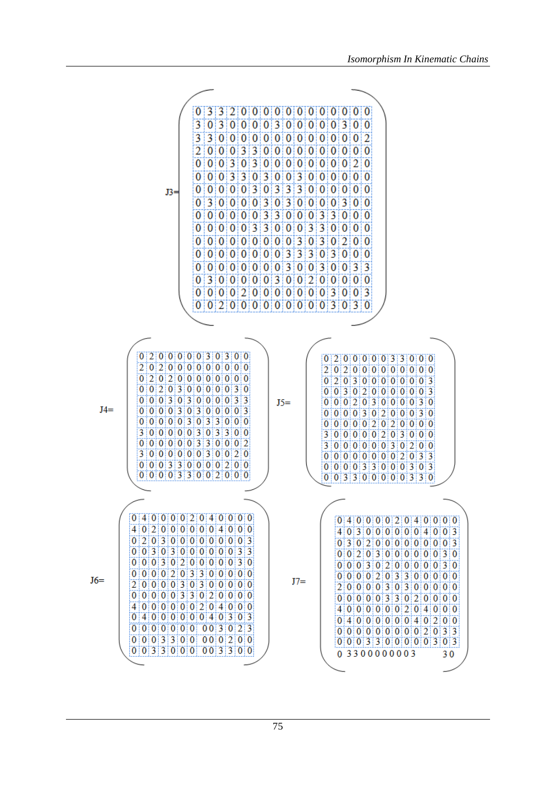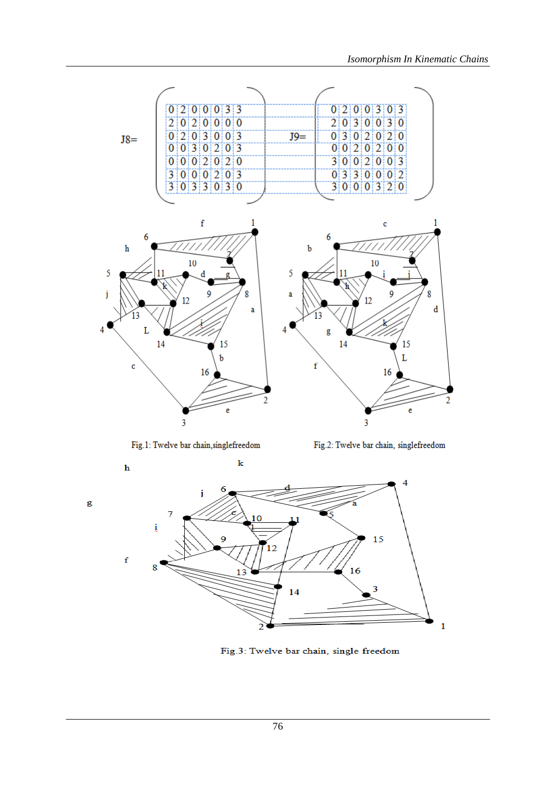

Fig.1: Twelve bar chain, singlefreedom

g

Fig.2: Twelve bar chain, singlefreedom



Fig.3: Twelve bar chain, single freedom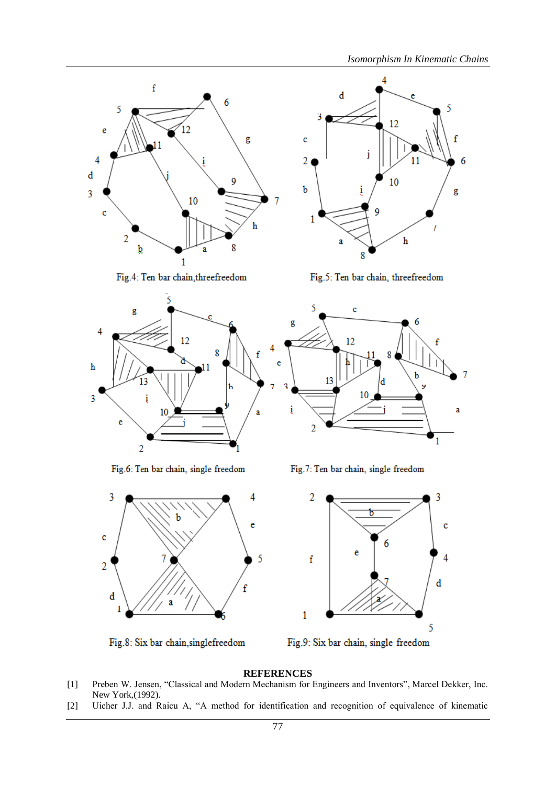11

5

f

g

6

4

i

12

10

 $\,$  h

d

a

3

c

2

 $\mathbf b$ 

1



Fig.4: Ten bar chain, threefreedom



Fig.6: Ten bar chain, single freedom



Fig.8: Six bar chain, singlefreedom

Fig.5: Ten bar chain, threefreedom

8



Fig.7: Ten bar chain, single freedom



Fig.9: Six bar chain, single freedom

## **REFERENCES**

- [1] Preben W. Jensen, "Classical and Modern Mechanism for Engineers and Inventors", Marcel Dekker, Inc. New York,(1992).
- [2] Uicher J.J. and Raicu A, "A method for identification and recognition of equivalence of kinematic